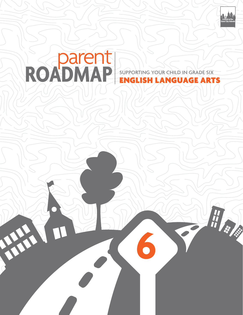

出身 多

# ROADMAP SUPPORTING YOUR CHILD IN GRADE SIX supporting your child IN grade six

**6**

PART !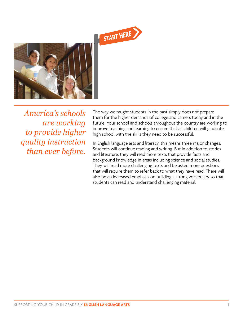



*America's schools are working to provide higher quality instruction than ever before.*

The way we taught students in the past simply does not prepare them for the higher demands of college and careers today and in the future. Your school and schools throughout the country are working to improve teaching and learning to ensure that all children will graduate high school with the skills they need to be successful.

In English language arts and literacy, this means three major changes. Students will continue reading and writing. But in addition to stories and literature, they will read more texts that provide facts and background knowledge in areas including science and social studies. They will read more challenging texts and be asked more questions that will require them to refer back to what they have read. There will also be an increased emphasis on building a strong vocabulary so that students can read and understand challenging material.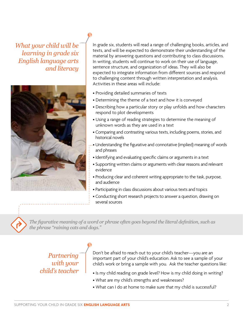*What your child will be learning in grade six English language arts and literacy*



In grade six, students will read a range of challenging books, articles, and texts, and will be expected to demonstrate their understanding of the material by answering questions and contributing to class discussions. In writing, students will continue to work on their use of language, sentence structure, and organization of ideas. They will also be expected to integrate information from different sources and respond to challenging content through written interpretation and analysis. Activities in these areas will include:

- Providing detailed summaries of texts
- Determining the theme of a text and how it is conveyed
- Describing how a particular story or play unfolds and how characters respond to plot developments
- Using a range of reading strategies to determine the meaning of unknown words as they are used in a text
- Comparing and contrasting various texts, including poems, stories, and historical novels
- Understanding the figurative and connotative (implied) meaning of words and phrases
- Identifying and evaluating specific claims or arguments in a text
- Supporting written claims or arguments with clear reasons and relevant evidence
- Producing clear and coherent writing appropriate to the task, purpose, and audience
- Participating in class discussions about various texts and topics
- Conducting short research projects to answer a question, drawing on several sources

*The figurative meaning of a word or phrase often goes beyond the literal definition, such as the phrase "raining cats and dogs."*

# *Partnering with your child's teacher*

Don't be afraid to reach out to your child's teacher—you are an important part of your child's education. Ask to see a sample of your child's work or bring a sample with you. Ask the teacher questions like:

- Is my child reading on grade level? How is my child doing in writing?
- What are my child's strengths and weaknesses?
- What can I do at home to make sure that my child is successful?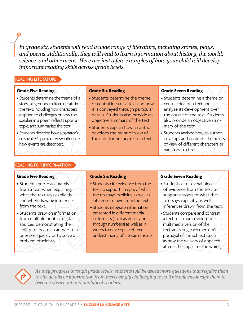*In grade six, students will read a wide range of literature, including stories, plays, and poems. Additionally, they will read to learn information about history, the world, science, and other areas. Here are just a few examples of how your child will develop important reading skills across grade levels.*

#### Reading literature

#### **Grade Five Reading**

- Students determine the theme of a story, play, or poem from details in
- the text, including how characters respond to challenges or how the speaker in a poem reflects upon a
- topic, and summarize the text. • Students describe how a narrator's or speaker's point of view influences how events are described.

#### **Grade Six Reading**

- Students determine the theme or central idea of a text and how it is conveyed through particular details. Students also provide an objective summary of the text.
- Students explain how an author develops the point of view of the narrator or speaker in a text.

## **Grade Seven Reading**

- Students determine a theme or central idea of a text and
- analyze its development over the course of the text. Students also provide an objective summary of the text.
- Students analyze how an author develops and contrasts the points of view of different characters or narrators in a text.

## Reading for information

## **Grade Five Reading**

- Students quote accurately
- from a text when explaining what the text says explicitly
- and when drawing inferences from the text.
- Students draw on information from multiple print or digital sources, demonstrating the ability to locate an answer to a question quickly or to solve a problem efficiently.

## **Grade Six Reading**

- Students cite evidence from the text to support analysis of what the text says explicitly as well as inferences drawn from the text.
- Students integrate information presented in different media or formats (such as visually or through numbers) as well as in words to develop a coherent understanding of a topic or issue.

## **Grade Seven Reading**

- Students cite several pieces of evidence from the text to support analysis of what the text says explicitly as well as inferences drawn from the text.
- Students compare and contrast a text to an audio, video, or multimedia version of the text, analyzing each medium's portrayal of the subject (such as how the delivery of a speech affects the impact of the words).



*As they progress through grade levels, students will be asked more questions that require them to cite details or information from increasingly challenging texts. This will encourage them to become observant and analytical readers.*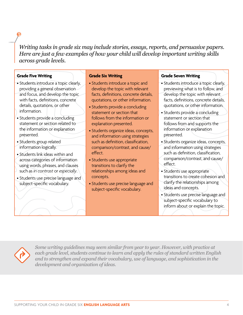*Writing tasks in grade six may include stories, essays, reports, and persuasive papers. Here are just a few examples of how your child will develop important writing skills across grade levels.* 

#### **Grade Five Writing**

- Students introduce a topic clearly, providing a general observation and focus, and develop the topic with facts, definitions, concrete details, quotations, or other information.
- Students provide a concluding statement or section related to the information or explanation presented.
- Students group related information logically.
- Students link ideas within and across categories of information using words, phrases, and clauses such as *in contrast* or *especially*.
- Students use precise language and subject-specific vocabulary.

#### **Grade Six Writing**

- Students introduce a topic and develop the topic with relevant facts, definitions, concrete details, quotations, or other information.
- Students provide a concluding statement or section that follows from the information or explanation presented.
- Students organize ideas, concepts, and information using strategies such as definition, classification, comparison/contrast, and cause/ effect.
- Students use appropriate transitions to clarify the relationships among ideas and concepts.
- Students use precise language and subject-specific vocabulary.

#### **Grade Seven Writing**

- Students introduce a topic clearly, previewing what is to follow, and develop the topic with relevant facts, definitions, concrete details, quotations, or other information.
- Students provide a concluding statement or section that follows from and supports the information or explanation presented.
- Students organize ideas, concepts, and information using strategies such as definition, classification, comparison/contrast, and cause/ effect.
- Students use appropriate transitions to create cohesion and clarify the relationships among ideas and concepts.
- Students use precise language and subject-specific vocabulary to inform about or explain the topic.



*Some writing guidelines may seem similar from year to year. However, with practice at each grade level, students continue to learn and apply the rules of standard written English and to strengthen and expand their vocabulary, use of language, and sophistication in the development and organization of ideas.*